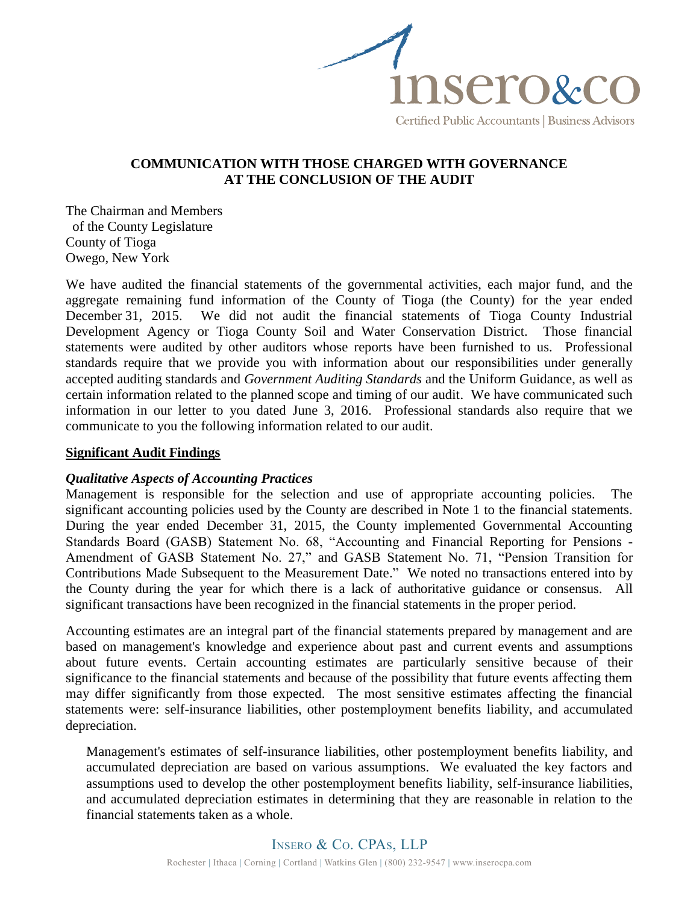

# **COMMUNICATION WITH THOSE CHARGED WITH GOVERNANCE AT THE CONCLUSION OF THE AUDIT**

The Chairman and Members of the County Legislature County of Tioga Owego, New York

We have audited the financial statements of the governmental activities, each major fund, and the aggregate remaining fund information of the County of Tioga (the County) for the year ended December 31, 2015. We did not audit the financial statements of Tioga County Industrial Development Agency or Tioga County Soil and Water Conservation District. Those financial statements were audited by other auditors whose reports have been furnished to us. Professional standards require that we provide you with information about our responsibilities under generally accepted auditing standards and *Government Auditing Standards* and the Uniform Guidance, as well as certain information related to the planned scope and timing of our audit. We have communicated such information in our letter to you dated June 3, 2016. Professional standards also require that we communicate to you the following information related to our audit.

#### **Significant Audit Findings**

### *Qualitative Aspects of Accounting Practices*

Management is responsible for the selection and use of appropriate accounting policies. The significant accounting policies used by the County are described in Note 1 to the financial statements. During the year ended December 31, 2015, the County implemented Governmental Accounting Standards Board (GASB) Statement No. 68, "Accounting and Financial Reporting for Pensions - Amendment of GASB Statement No. 27," and GASB Statement No. 71, "Pension Transition for Contributions Made Subsequent to the Measurement Date." We noted no transactions entered into by the County during the year for which there is a lack of authoritative guidance or consensus. All significant transactions have been recognized in the financial statements in the proper period.

Accounting estimates are an integral part of the financial statements prepared by management and are based on management's knowledge and experience about past and current events and assumptions about future events. Certain accounting estimates are particularly sensitive because of their significance to the financial statements and because of the possibility that future events affecting them may differ significantly from those expected. The most sensitive estimates affecting the financial statements were: self-insurance liabilities, other postemployment benefits liability, and accumulated depreciation.

Management's estimates of self-insurance liabilities, other postemployment benefits liability, and accumulated depreciation are based on various assumptions. We evaluated the key factors and assumptions used to develop the other postemployment benefits liability, self-insurance liabilities, and accumulated depreciation estimates in determining that they are reasonable in relation to the financial statements taken as a whole.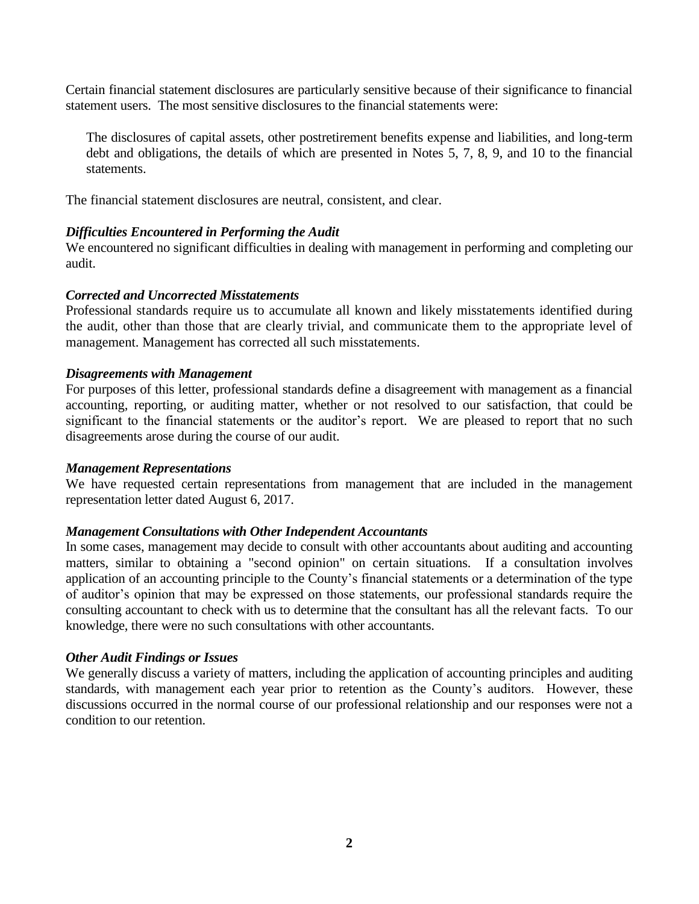Certain financial statement disclosures are particularly sensitive because of their significance to financial statement users. The most sensitive disclosures to the financial statements were:

The disclosures of capital assets, other postretirement benefits expense and liabilities, and long-term debt and obligations, the details of which are presented in Notes 5, 7, 8, 9, and 10 to the financial statements.

The financial statement disclosures are neutral, consistent, and clear.

## *Difficulties Encountered in Performing the Audit*

We encountered no significant difficulties in dealing with management in performing and completing our audit.

### *Corrected and Uncorrected Misstatements*

Professional standards require us to accumulate all known and likely misstatements identified during the audit, other than those that are clearly trivial, and communicate them to the appropriate level of management. Management has corrected all such misstatements.

### *Disagreements with Management*

For purposes of this letter, professional standards define a disagreement with management as a financial accounting, reporting, or auditing matter, whether or not resolved to our satisfaction, that could be significant to the financial statements or the auditor's report. We are pleased to report that no such disagreements arose during the course of our audit.

### *Management Representations*

We have requested certain representations from management that are included in the management representation letter dated August 6, 2017.

### *Management Consultations with Other Independent Accountants*

In some cases, management may decide to consult with other accountants about auditing and accounting matters, similar to obtaining a "second opinion" on certain situations. If a consultation involves application of an accounting principle to the County's financial statements or a determination of the type of auditor's opinion that may be expressed on those statements, our professional standards require the consulting accountant to check with us to determine that the consultant has all the relevant facts. To our knowledge, there were no such consultations with other accountants.

### *Other Audit Findings or Issues*

We generally discuss a variety of matters, including the application of accounting principles and auditing standards, with management each year prior to retention as the County's auditors. However, these discussions occurred in the normal course of our professional relationship and our responses were not a condition to our retention.